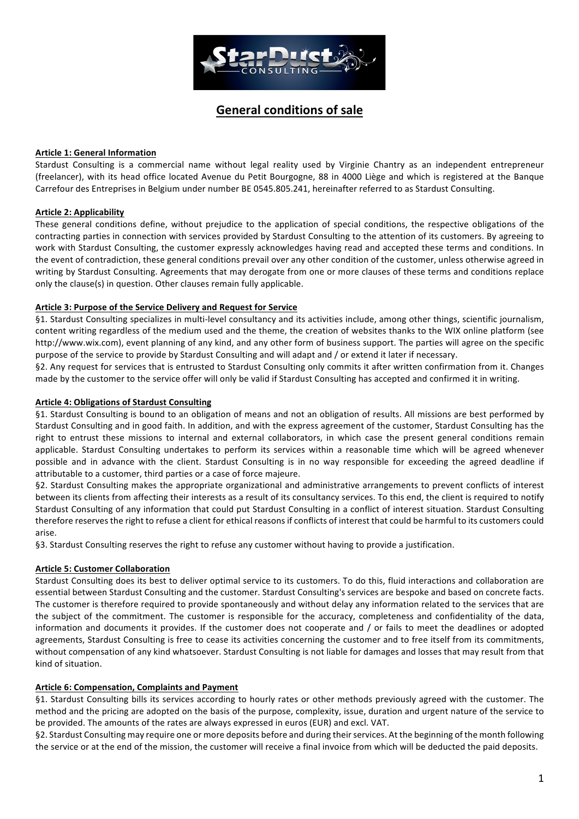

# **General conditions of sale**

### **Article 1: General Information**

Stardust Consulting is a commercial name without legal reality used by Virginie Chantry as an independent entrepreneur (freelancer), with its head office located Avenue du Petit Bourgogne, 88 in 4000 Liège and which is registered at the Banque Carrefour des Entreprises in Belgium under number BE 0545.805.241, hereinafter referred to as Stardust Consulting.

# **Article 2: Applicability**

These general conditions define, without prejudice to the application of special conditions, the respective obligations of the contracting parties in connection with services provided by Stardust Consulting to the attention of its customers. By agreeing to work with Stardust Consulting, the customer expressly acknowledges having read and accepted these terms and conditions. In the event of contradiction, these general conditions prevail over any other condition of the customer, unless otherwise agreed in writing by Stardust Consulting. Agreements that may derogate from one or more clauses of these terms and conditions replace only the clause(s) in question. Other clauses remain fully applicable.

### Article 3: Purpose of the Service Delivery and Request for Service

§1. Stardust Consulting specializes in multi-level consultancy and its activities include, among other things, scientific journalism, content writing regardless of the medium used and the theme, the creation of websites thanks to the WIX online platform (see http://www.wix.com), event planning of any kind, and any other form of business support. The parties will agree on the specific purpose of the service to provide by Stardust Consulting and will adapt and / or extend it later if necessary.

§2. Any request for services that is entrusted to Stardust Consulting only commits it after written confirmation from it. Changes made by the customer to the service offer will only be valid if Stardust Consulting has accepted and confirmed it in writing.

### **Article 4: Obligations of Stardust Consulting**

§1. Stardust Consulting is bound to an obligation of means and not an obligation of results. All missions are best performed by Stardust Consulting and in good faith. In addition, and with the express agreement of the customer, Stardust Consulting has the right to entrust these missions to internal and external collaborators, in which case the present general conditions remain applicable. Stardust Consulting undertakes to perform its services within a reasonable time which will be agreed whenever possible and in advance with the client. Stardust Consulting is in no way responsible for exceeding the agreed deadline if attributable to a customer, third parties or a case of force majeure.

§2. Stardust Consulting makes the appropriate organizational and administrative arrangements to prevent conflicts of interest between its clients from affecting their interests as a result of its consultancy services. To this end, the client is required to notify Stardust Consulting of any information that could put Stardust Consulting in a conflict of interest situation. Stardust Consulting therefore reserves the right to refuse a client for ethical reasons if conflicts of interest that could be harmful to its customers could arise.

§3. Stardust Consulting reserves the right to refuse any customer without having to provide a justification.

### **Article 5: Customer Collaboration**

Stardust Consulting does its best to deliver optimal service to its customers. To do this, fluid interactions and collaboration are essential between Stardust Consulting and the customer. Stardust Consulting's services are bespoke and based on concrete facts. The customer is therefore required to provide spontaneously and without delay any information related to the services that are the subject of the commitment. The customer is responsible for the accuracy, completeness and confidentiality of the data, information and documents it provides. If the customer does not cooperate and / or fails to meet the deadlines or adopted agreements, Stardust Consulting is free to cease its activities concerning the customer and to free itself from its commitments, without compensation of any kind whatsoever. Stardust Consulting is not liable for damages and losses that may result from that kind of situation.

### **Article 6: Compensation, Complaints and Payment**

§1. Stardust Consulting bills its services according to hourly rates or other methods previously agreed with the customer. The method and the pricing are adopted on the basis of the purpose, complexity, issue, duration and urgent nature of the service to be provided. The amounts of the rates are always expressed in euros (EUR) and excl. VAT.

§2. Stardust Consulting may require one or more deposits before and during their services. At the beginning of the month following the service or at the end of the mission, the customer will receive a final invoice from which will be deducted the paid deposits.